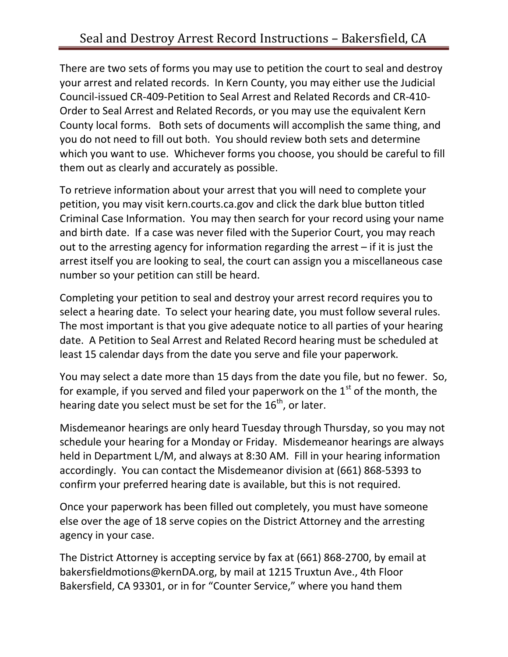There are two sets of forms you may use to petition the court to seal and destroy your arrest and related records. In Kern County, you may either use the Judicial Council-issued CR-409-Petition to Seal Arrest and Related Records and CR-410- Order to Seal Arrest and Related Records, or you may use the equivalent Kern County local forms. Both sets of documents will accomplish the same thing, and you do not need to fill out both. You should review both sets and determine which you want to use. Whichever forms you choose, you should be careful to fill them out as clearly and accurately as possible.

To retrieve information about your arrest that you will need to complete your petition, you may visit kern.courts.ca.gov and click the dark blue button titled Criminal Case Information. You may then search for your record using your name and birth date. If a case was never filed with the Superior Court, you may reach out to the arresting agency for information regarding the arrest – if it is just the arrest itself you are looking to seal, the court can assign you a miscellaneous case number so your petition can still be heard.

Completing your petition to seal and destroy your arrest record requires you to select a hearing date. To select your hearing date, you must follow several rules. The most important is that you give adequate notice to all parties of your hearing date. A Petition to Seal Arrest and Related Record hearing must be scheduled at least 15 calendar days from the date you serve and file your paperwork.

You may select a date more than 15 days from the date you file, but no fewer. So, for example, if you served and filed your paperwork on the  $1<sup>st</sup>$  of the month, the hearing date you select must be set for the  $16<sup>th</sup>$ , or later.

Misdemeanor hearings are only heard Tuesday through Thursday, so you may not schedule your hearing for a Monday or Friday. Misdemeanor hearings are always held in Department L/M, and always at 8:30 AM. Fill in your hearing information accordingly. You can contact the Misdemeanor division at (661) 868-5393 to confirm your preferred hearing date is available, but this is not required.

Once your paperwork has been filled out completely, you must have someone else over the age of 18 serve copies on the District Attorney and the arresting agency in your case.

The District Attorney is accepting service by fax at (661) 868-2700, by email at bakersfieldmotions@kernDA.org, by mail at 1215 Truxtun Ave., 4th Floor Bakersfield, CA 93301, or in for "Counter Service," where you hand them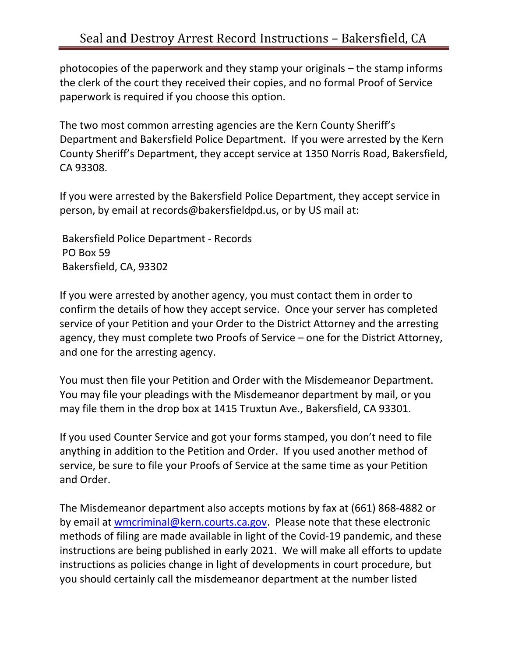photocopies of the paperwork and they stamp your originals – the stamp informs the clerk of the court they received their copies, and no formal Proof of Service paperwork is required if you choose this option.

The two most common arresting agencies are the Kern County Sheriff's Department and Bakersfield Police Department. If you were arrested by the Kern County Sheriff's Department, they accept service at 1350 Norris Road, Bakersfield, CA 93308.

If you were arrested by the Bakersfield Police Department, they accept service in person, by email at records@bakersfieldpd.us, or by US mail at:

 Bakersfield Police Department - Records PO Box 59 Bakersfield, CA, 93302

If you were arrested by another agency, you must contact them in order to confirm the details of how they accept service. Once your server has completed service of your Petition and your Order to the District Attorney and the arresting agency, they must complete two Proofs of Service – one for the District Attorney, and one for the arresting agency.

You must then file your Petition and Order with the Misdemeanor Department. You may file your pleadings with the Misdemeanor department by mail, or you may file them in the drop box at 1415 Truxtun Ave., Bakersfield, CA 93301.

If you used Counter Service and got your forms stamped, you don't need to file anything in addition to the Petition and Order. If you used another method of service, be sure to file your Proofs of Service at the same time as your Petition and Order.

The Misdemeanor department also accepts motions by fax at (661) 868-4882 or by email at wmcriminal@kern.courts.ca.gov. Please note that these electronic methods of filing are made available in light of the Covid-19 pandemic, and these instructions are being published in early 2021. We will make all efforts to update instructions as policies change in light of developments in court procedure, but you should certainly call the misdemeanor department at the number listed